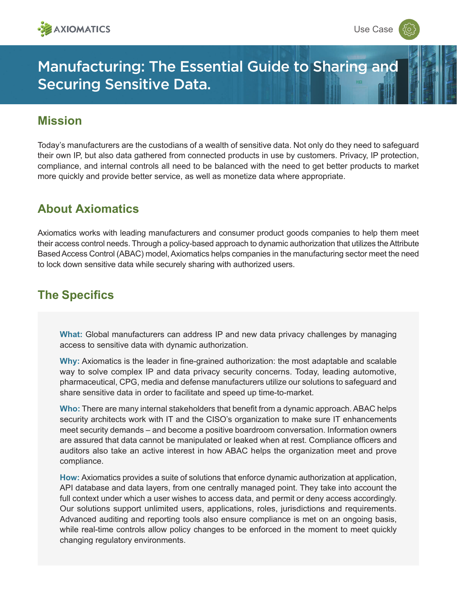

# Manufacturing: The Essential Guide to Sharing and Securing Sensitive Data.

#### **Mission**

Today's manufacturers are the custodians of a wealth of sensitive data. Not only do they need to safeguard their own IP, but also data gathered from connected products in use by customers. Privacy, IP protection, compliance, and internal controls all need to be balanced with the need to get better products to market more quickly and provide better service, as well as monetize data where appropriate.

### **About Axiomatics**

Axiomatics works with leading manufacturers and consumer product goods companies to help them meet their access control needs. Through a policy-based approach to dynamic authorization that utilizes the Attribute Based Access Control (ABAC) model, Axiomatics helps companies in the manufacturing sector meet the need to lock down sensitive data while securely sharing with authorized users.

## **The Specifics**

**What:** Global manufacturers can address IP and new data privacy challenges by managing access to sensitive data with dynamic authorization.

**Why:** Axiomatics is the leader in fine-grained authorization: the most adaptable and scalable way to solve complex IP and data privacy security concerns. Today, leading automotive, pharmaceutical, CPG, media and defense manufacturers utilize our solutions to safeguard and share sensitive data in order to facilitate and speed up time-to-market.

**Who:** There are many internal stakeholders that benefit from a dynamic approach. ABAC helps security architects work with IT and the CISO's organization to make sure IT enhancements meet security demands – and become a positive boardroom conversation. Information owners are assured that data cannot be manipulated or leaked when at rest. Compliance officers and auditors also take an active interest in how ABAC helps the organization meet and prove compliance.

**How:** Axiomatics provides a suite of solutions that enforce dynamic authorization at application, API database and data layers, from one centrally managed point. They take into account the full context under which a user wishes to access data, and permit or deny access accordingly. Our solutions support unlimited users, applications, roles, jurisdictions and requirements. Advanced auditing and reporting tools also ensure compliance is met on an ongoing basis, while real-time controls allow policy changes to be enforced in the moment to meet quickly changing regulatory environments.